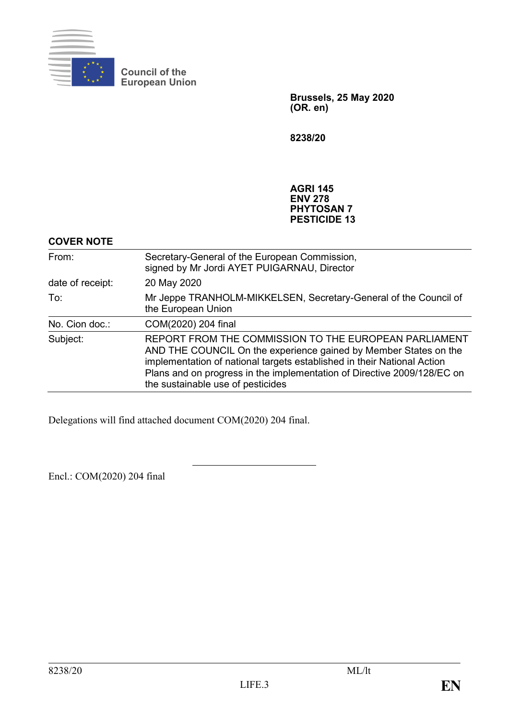

**Council of the European Union**

> **Brussels, 25 May 2020 (OR. en)**

**8238/20**

**AGRI 145 ENV 278 PHYTOSAN 7 PESTICIDE 13**

## **COVER NOTE**

| From:            | Secretary-General of the European Commission,<br>signed by Mr Jordi AYET PUIGARNAU, Director                                                                                                                                                                                                                         |
|------------------|----------------------------------------------------------------------------------------------------------------------------------------------------------------------------------------------------------------------------------------------------------------------------------------------------------------------|
| date of receipt: | 20 May 2020                                                                                                                                                                                                                                                                                                          |
| To:              | Mr Jeppe TRANHOLM-MIKKELSEN, Secretary-General of the Council of<br>the European Union                                                                                                                                                                                                                               |
| No. Cion doc.:   | COM(2020) 204 final                                                                                                                                                                                                                                                                                                  |
| Subject:         | REPORT FROM THE COMMISSION TO THE EUROPEAN PARLIAMENT<br>AND THE COUNCIL On the experience gained by Member States on the<br>implementation of national targets established in their National Action<br>Plans and on progress in the implementation of Directive 2009/128/EC on<br>the sustainable use of pesticides |

Delegations will find attached document COM(2020) 204 final.

Encl.: COM(2020) 204 final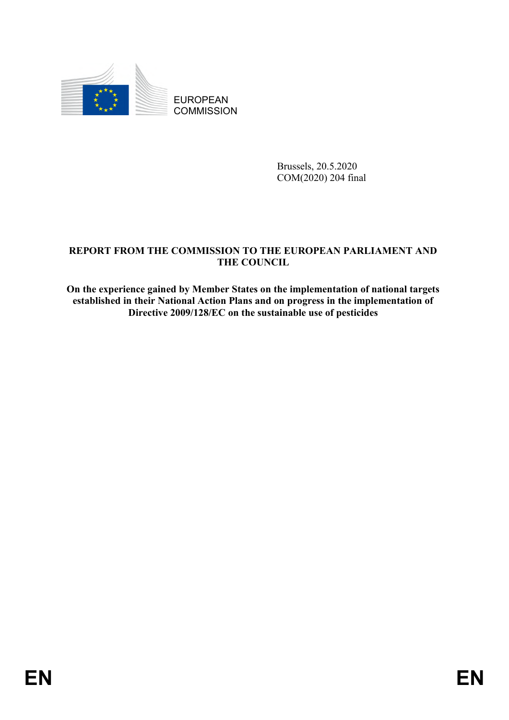

EUROPEAN **COMMISSION** 

> Brussels, 20.5.2020 COM(2020) 204 final

# **REPORT FROM THE COMMISSION TO THE EUROPEAN PARLIAMENT AND THE COUNCIL**

**On the experience gained by Member States on the implementation of national targets established in their National Action Plans and on progress in the implementation of Directive 2009/128/EC on the sustainable use of pesticides**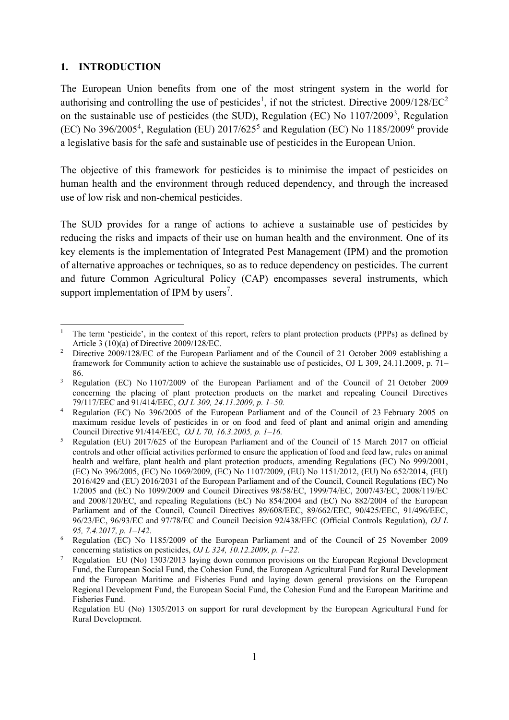#### **1. INTRODUCTION**

The European Union benefits from one of the most stringent system in the world for authorising and controlling the use of pesticides<sup>1</sup>, if not the strictest. Directive  $2009/128/EC^2$ on the sustainable use of pesticides (the SUD), Regulation (EC) No 1107/2009<sup>3</sup>, Regulation  $(EC)$  No 396/2005<sup>4</sup>, Regulation (EU) 2017/625<sup>5</sup> and Regulation (EC) No 1185/2009<sup>6</sup> provide a legislative basis for the safe and sustainable use of pesticides in the European Union.

The objective of this framework for pesticides is to minimise the impact of pesticides on human health and the environment through reduced dependency, and through the increased use of low risk and non-chemical pesticides.

The SUD provides for a range of actions to achieve a sustainable use of pesticides by reducing the risks and impacts of their use on human health and the environment. One of its key elements is the implementation of Integrated Pest Management (IPM) and the promotion of alternative approaches or techniques, so as to reduce dependency on pesticides. The current and future Common Agricultural Policy (CAP) encompasses several instruments, which support implementation of IPM by users<sup>7</sup>.

**<sup>.</sup>** <sup>1</sup> The term 'pesticide', in the context of this report, refers to plant protection products (PPPs) as defined by Article 3 (10)(a) of Directive 2009/128/EC.

<sup>2</sup> Directive 2009/128/EC of the European Parliament and of the Council of 21 October 2009 establishing a framework for Community action to achieve the sustainable use of pesticides, OJ L 309, 24.11.2009, p. 71– 86.

<sup>3</sup> Regulation (EC) No 1107/2009 of the European Parliament and of the Council of 21 October 2009 concerning the placing of plant protection products on the market and repealing Council Directives 79/117/EEC and 91/414/EEC, *OJ L 309, 24.11.2009, p. 1–50.*

<sup>4</sup> Regulation (EC) No 396/2005 of the European Parliament and of the Council of 23 February 2005 on maximum residue levels of pesticides in or on food and feed of plant and animal origin and amending Council Directive 91/414/EEC, *OJ L 70, 16.3.2005, p. 1–16.*

<sup>5</sup> Regulation (EU) 2017/625 of the European Parliament and of the Council of 15 March 2017 on official controls and other official activities performed to ensure the application of food and feed law, rules on animal health and welfare, plant health and plant protection products, amending Regulations (EC) No 999/2001, (EC) No 396/2005, (EC) No 1069/2009, (EC) No 1107/2009, (EU) No 1151/2012, (EU) No 652/2014, (EU) 2016/429 and (EU) 2016/2031 of the European Parliament and of the Council, Council Regulations (EC) No 1/2005 and (EC) No 1099/2009 and Council Directives 98/58/EC, 1999/74/EC, 2007/43/EC, 2008/119/EC and 2008/120/EC, and repealing Regulations (EC) No 854/2004 and (EC) No 882/2004 of the European Parliament and of the Council, Council Directives 89/608/EEC, 89/662/EEC, 90/425/EEC, 91/496/EEC, 96/23/EC, 96/93/EC and 97/78/EC and Council Decision 92/438/EEC (Official Controls Regulation), *OJ L 95, 7.4.2017, p. 1–142*.

<sup>6</sup> Regulation (EC) No 1185/2009 of the European Parliament and of the Council of 25 November 2009 concerning statistics on pesticides, *OJ L 324, 10.12.2009, p. 1–22.*

<sup>7</sup> Regulation EU (No) 1303/2013 laying down common provisions on the European Regional Development Fund, the European Social Fund, the Cohesion Fund, the European Agricultural Fund for Rural Development and the European Maritime and Fisheries Fund and laying down general provisions on the European Regional Development Fund, the European Social Fund, the Cohesion Fund and the European Maritime and Fisheries Fund.

Regulation EU (No) 1305/2013 on support for rural development by the European Agricultural Fund for Rural Development.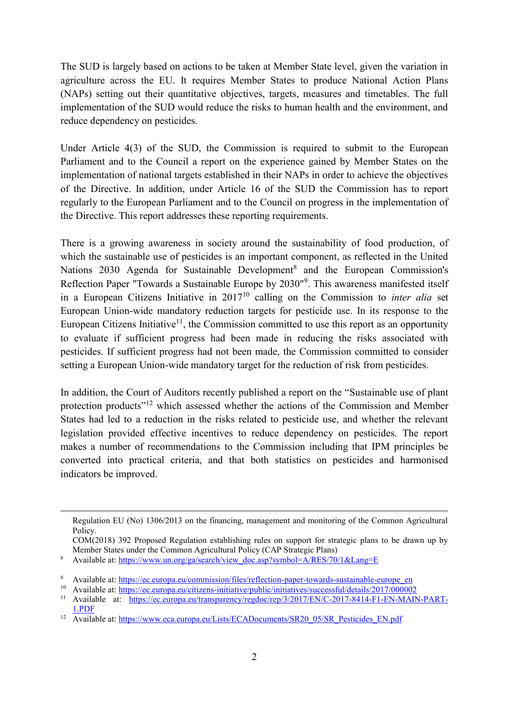The SUD is largely based on actions to be taken at Member State level, given the variation in agriculture across the EU. It requires Member States to produce National Action Plans (NAPs) setting out their quantitative objectives, targets, measures and timetables. The full implementation of the SUD would reduce the risks to human health and the environment, and reduce dependency on pesticides.

Under Article 4(3) of the SUD, the Commission is required to submit to the European Parliament and to the Council a report on the experience gained by Member States on the implementation of national targets established in their NAPs in order to achieve the objectives of the Directive. In addition, under Article 16 of the SUD the Commission has to report regularly to the European Parliament and to the Council on progress in the implementation of the Directive. This report addresses these reporting requirements.

There is a growing awareness in society around the sustainability of food production, of which the sustainable use of pesticides is an important component, as reflected in the United Nations 2030 Agenda for Sustainable Development<sup>8</sup> and the European Commission's Reflection Paper "Towards a Sustainable Europe by 2030"<sup>9</sup>. This awareness manifested itself in a European Citizens Initiative in 2017<sup>10</sup> calling on the Commission to *inter alia* set European Union-wide mandatory reduction targets for pesticide use. In its response to the European Citizens Initiative<sup>11</sup>, the Commission committed to use this report as an opportunity to evaluate if sufficient progress had been made in reducing the risks associated with pesticides. If sufficient progress had not been made, the Commission committed to consider setting a European Union-wide mandatory target for the reduction of risk from pesticides.

In addition, the Court of Auditors recently published a report on the "Sustainable use of plant protection products<sup>"12</sup> which assessed whether the actions of the Commission and Member States had led to a reduction in the risks related to pesticide use, and whether the relevant legislation provided effective incentives to reduce dependency on pesticides. The report makes a number of recommendations to the Commission including that IPM principles be converted into practical criteria, and that both statistics on pesticides and harmonised indicators be improved.

 $\overline{a}$ 

Regulation EU (No) 1306/2013 on the financing, management and monitoring of the Common Agricultural Policy.

COM(2018) 392 Proposed Regulation establishing rules on support for strategic plans to be drawn up by Member States under the Common Agricultural Policy (CAP Strategic Plans)

<sup>8</sup> Available at: [https://www.un.org/ga/search/view\\_doc.asp?symbol=A/RES/70/1&Lang=E](https://www.un.org/ga/search/view_doc.asp?symbol=A/RES/70/1&Lang=E)

<sup>9</sup> Available at: [https://ec.europa.eu/commission/files/reflection-paper-towards-sustainable-europe\\_en](https://ec.europa.eu/commission/files/reflection-paper-towards-sustainable-europe_en)

<sup>&</sup>lt;sup>10</sup> Available at:<https://ec.europa.eu/citizens-initiative/public/initiatives/successful/details/2017/000002>

<sup>11</sup> Available at: [https://ec.europa.eu/transparency/regdoc/rep/3/2017/EN/C-2017-8414-F1-EN-MAIN-PART-](https://ec.europa.eu/transparency/regdoc/rep/3/2017/EN/C-2017-8414-F1-EN-MAIN-PART-1.PDF)[1.PDF](https://ec.europa.eu/transparency/regdoc/rep/3/2017/EN/C-2017-8414-F1-EN-MAIN-PART-1.PDF)

<sup>&</sup>lt;sup>12</sup> Available at: [https://www.eca.europa.eu/Lists/ECADocuments/SR20\\_05/SR\\_Pesticides\\_EN.pdf](https://www.eca.europa.eu/Lists/ECADocuments/SR20_05/SR_Pesticides_EN.pdf)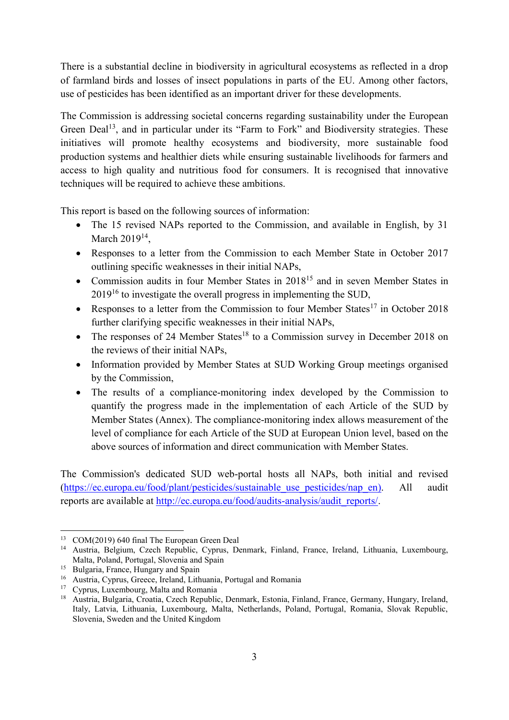There is a substantial decline in biodiversity in agricultural ecosystems as reflected in a drop of farmland birds and losses of insect populations in parts of the EU. Among other factors, use of pesticides has been identified as an important driver for these developments.

The Commission is addressing societal concerns regarding sustainability under the European Green Deal<sup>13</sup>, and in particular under its "Farm to Fork" and Biodiversity strategies. These initiatives will promote healthy ecosystems and biodiversity, more sustainable food production systems and healthier diets while ensuring sustainable livelihoods for farmers and access to high quality and nutritious food for consumers. It is recognised that innovative techniques will be required to achieve these ambitions.

This report is based on the following sources of information:

- The 15 revised NAPs reported to the Commission, and available in English, by 31 March  $2019^{14}$ ,
- Responses to a letter from the Commission to each Member State in October 2017 outlining specific weaknesses in their initial NAPs,
- Commission audits in four Member States in 2018<sup>15</sup> and in seven Member States in 2019<sup>16</sup> to investigate the overall progress in implementing the SUD,
- Responses to a letter from the Commission to four Member States<sup>17</sup> in October 2018 further clarifying specific weaknesses in their initial NAPs,
- The responses of 24 Member States<sup>18</sup> to a Commission survey in December 2018 on the reviews of their initial NAPs,
- Information provided by Member States at SUD Working Group meetings organised by the Commission,
- The results of a compliance-monitoring index developed by the Commission to quantify the progress made in the implementation of each Article of the SUD by Member States (Annex). The compliance-monitoring index allows measurement of the level of compliance for each Article of the SUD at European Union level, based on the above sources of information and direct communication with Member States.

The Commission's dedicated SUD web-portal hosts all NAPs, both initial and revised [\(https://ec.europa.eu/food/plant/pesticides/sustainable\\_use\\_pesticides/nap\\_en\)](https://ec.europa.eu/food/plant/pesticides/sustainable_use_pesticides/nap_en). All audit reports are available at [http://ec.europa.eu/food/audits-analysis/audit\\_reports/.](http://ec.europa.eu/food/audits-analysis/audit_reports/)

 $\overline{a}$ <sup>13</sup> COM(2019) 640 final The European Green Deal

<sup>14</sup> Austria, Belgium, Czech Republic, Cyprus, Denmark, Finland, France, Ireland, Lithuania, Luxembourg, Malta, Poland, Portugal, Slovenia and Spain

<sup>&</sup>lt;sup>15</sup> Bulgaria, France, Hungary and Spain

<sup>16</sup> Austria, Cyprus, Greece, Ireland, Lithuania, Portugal and Romania

<sup>&</sup>lt;sup>17</sup> Cyprus, Luxembourg, Malta and Romania

<sup>18</sup> Austria, Bulgaria, Croatia, Czech Republic, Denmark, Estonia, Finland, France, Germany, Hungary, Ireland, Italy, Latvia, Lithuania, Luxembourg, Malta, Netherlands, Poland, Portugal, Romania, Slovak Republic, Slovenia, Sweden and the United Kingdom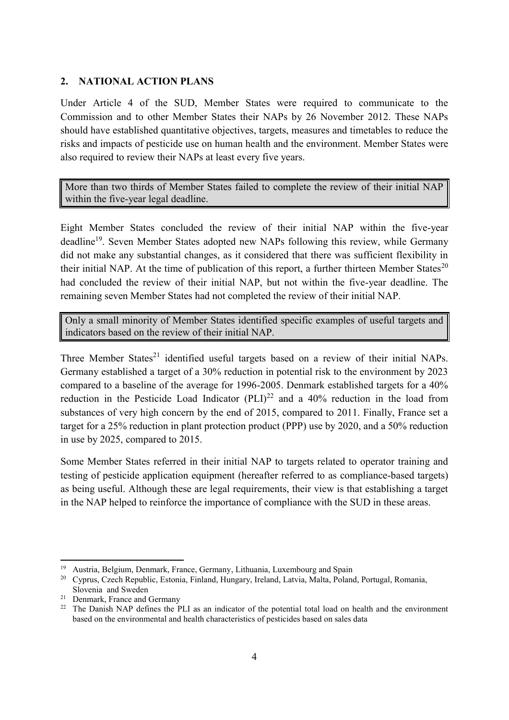#### **2. NATIONAL ACTION PLANS**

Under Article 4 of the SUD, Member States were required to communicate to the Commission and to other Member States their NAPs by 26 November 2012. These NAPs should have established quantitative objectives, targets, measures and timetables to reduce the risks and impacts of pesticide use on human health and the environment. Member States were also required to review their NAPs at least every five years.

More than two thirds of Member States failed to complete the review of their initial NAP within the five-year legal deadline.

Eight Member States concluded the review of their initial NAP within the five-year deadline<sup>19</sup>. Seven Member States adopted new NAPs following this review, while Germany did not make any substantial changes, as it considered that there was sufficient flexibility in their initial NAP. At the time of publication of this report, a further thirteen Member States $^{20}$ had concluded the review of their initial NAP, but not within the five-year deadline. The remaining seven Member States had not completed the review of their initial NAP.

Only a small minority of Member States identified specific examples of useful targets and indicators based on the review of their initial NAP.

Three Member States<sup>21</sup> identified useful targets based on a review of their initial NAPs. Germany established a target of a 30% reduction in potential risk to the environment by 2023 compared to a baseline of the average for 1996-2005. Denmark established targets for a 40% reduction in the Pesticide Load Indicator  $(PLI)^{22}$  and a 40% reduction in the load from substances of very high concern by the end of 2015, compared to 2011. Finally, France set a target for a 25% reduction in plant protection product (PPP) use by 2020, and a 50% reduction in use by 2025, compared to 2015.

Some Member States referred in their initial NAP to targets related to operator training and testing of pesticide application equipment (hereafter referred to as compliance-based targets) as being useful. Although these are legal requirements, their view is that establishing a target in the NAP helped to reinforce the importance of compliance with the SUD in these areas.

 $\overline{a}$ 

<sup>19</sup> Austria, Belgium, Denmark, France, Germany, Lithuania, Luxembourg and Spain

<sup>20</sup> Cyprus, Czech Republic, Estonia, Finland, Hungary, Ireland, Latvia, Malta, Poland, Portugal, Romania, Slovenia and Sweden

<sup>21</sup> Denmark, France and Germany

<sup>&</sup>lt;sup>22</sup> The Danish NAP defines the PLI as an indicator of the potential total load on health and the environment based on the environmental and health characteristics of pesticides based on sales data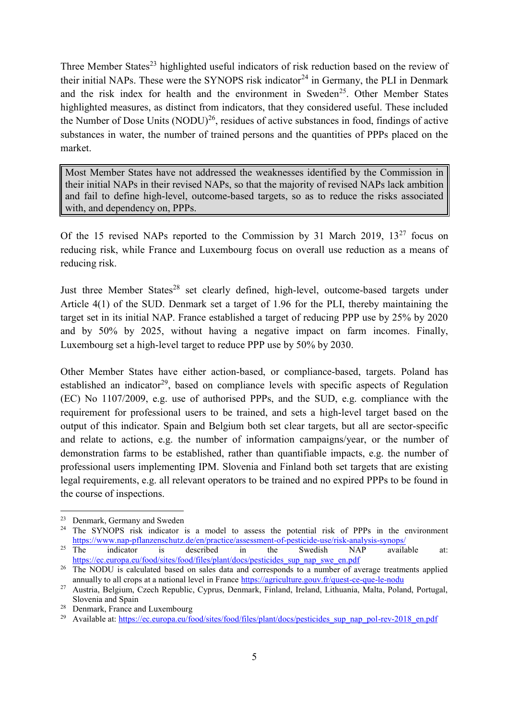Three Member States<sup>23</sup> highlighted useful indicators of risk reduction based on the review of their initial NAPs. These were the SYNOPS risk indicator<sup>24</sup> in Germany, the PLI in Denmark and the risk index for health and the environment in Sweden<sup>25</sup>. Other Member States highlighted measures, as distinct from indicators, that they considered useful. These included the Number of Dose Units  $(NODU)^{26}$ , residues of active substances in food, findings of active substances in water, the number of trained persons and the quantities of PPPs placed on the market.

Most Member States have not addressed the weaknesses identified by the Commission in their initial NAPs in their revised NAPs, so that the majority of revised NAPs lack ambition and fail to define high-level, outcome-based targets, so as to reduce the risks associated with, and dependency on, PPPs.

Of the 15 revised NAPs reported to the Commission by 31 March 2019,  $13^{27}$  focus on reducing risk, while France and Luxembourg focus on overall use reduction as a means of reducing risk.

Just three Member States<sup>28</sup> set clearly defined, high-level, outcome-based targets under Article 4(1) of the SUD. Denmark set a target of 1.96 for the PLI, thereby maintaining the target set in its initial NAP. France established a target of reducing PPP use by 25% by 2020 and by 50% by 2025, without having a negative impact on farm incomes. Finally, Luxembourg set a high-level target to reduce PPP use by 50% by 2030.

Other Member States have either action-based, or compliance-based, targets. Poland has established an indicator<sup>29</sup>, based on compliance levels with specific aspects of Regulation (EC) No 1107/2009, e.g. use of authorised PPPs, and the SUD, e.g. compliance with the requirement for professional users to be trained, and sets a high-level target based on the output of this indicator. Spain and Belgium both set clear targets, but all are sector-specific and relate to actions, e.g. the number of information campaigns/year, or the number of demonstration farms to be established, rather than quantifiable impacts, e.g. the number of professional users implementing IPM. Slovenia and Finland both set targets that are existing legal requirements, e.g. all relevant operators to be trained and no expired PPPs to be found in the course of inspections.

<sup>23</sup> Denmark, Germany and Sweden

<sup>&</sup>lt;sup>24</sup> The SYNOPS risk indicator is a model to assess the potential risk of PPPs in the environment <https://www.nap-pflanzenschutz.de/en/practice/assessment-of-pesticide-use/risk-analysis-synops/><br>
The indicator is described in the Swedish NAP availa

<sup>&</sup>lt;sup>25</sup> The indicator is described in the Swedish NAP available at: [https://ec.europa.eu/food/sites/food/files/plant/docs/pesticides\\_sup\\_nap\\_swe\\_en.pdf](https://ec.europa.eu/food/sites/food/files/plant/docs/pesticides_sup_nap_swe_en.pdf)

<sup>&</sup>lt;sup>26</sup> The NODU is calculated based on sales data and corresponds to a number of average treatments applied annually to all crops at a national level in France<https://agriculture.gouv.fr/quest-ce-que-le-nodu>

<sup>27</sup> Austria, Belgium, Czech Republic, Cyprus, Denmark, Finland, Ireland, Lithuania, Malta, Poland, Portugal, Slovenia and Spain

<sup>28</sup> Denmark, France and Luxembourg

<sup>&</sup>lt;sup>29</sup> Available at: [https://ec.europa.eu/food/sites/food/files/plant/docs/pesticides\\_sup\\_nap\\_pol-rev-2018\\_en.pdf](https://ec.europa.eu/food/sites/food/files/plant/docs/pesticides_sup_nap_pol-rev-2018_en.pdf)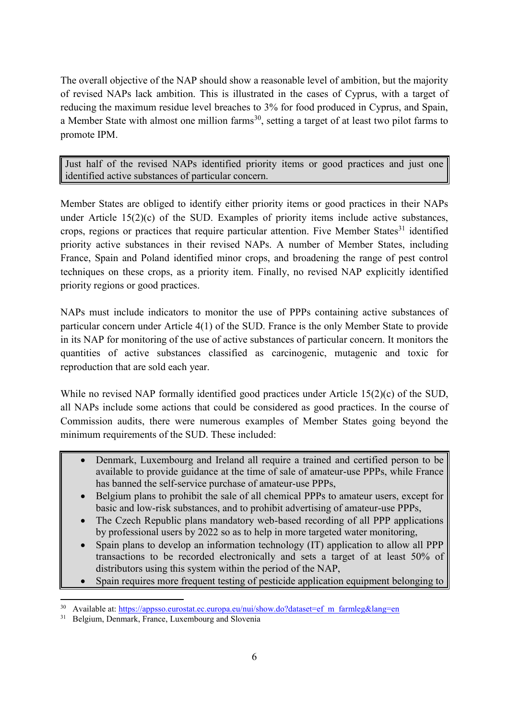The overall objective of the NAP should show a reasonable level of ambition, but the majority of revised NAPs lack ambition. This is illustrated in the cases of Cyprus, with a target of reducing the maximum residue level breaches to 3% for food produced in Cyprus, and Spain, a Member State with almost one million farms<sup>30</sup>, setting a target of at least two pilot farms to promote IPM.

Just half of the revised NAPs identified priority items or good practices and just one identified active substances of particular concern.

Member States are obliged to identify either priority items or good practices in their NAPs under Article 15(2)(c) of the SUD. Examples of priority items include active substances, crops, regions or practices that require particular attention. Five Member States<sup>31</sup> identified priority active substances in their revised NAPs. A number of Member States, including France, Spain and Poland identified minor crops, and broadening the range of pest control techniques on these crops, as a priority item. Finally, no revised NAP explicitly identified priority regions or good practices.

NAPs must include indicators to monitor the use of PPPs containing active substances of particular concern under Article 4(1) of the SUD. France is the only Member State to provide in its NAP for monitoring of the use of active substances of particular concern. It monitors the quantities of active substances classified as carcinogenic, mutagenic and toxic for reproduction that are sold each year.

While no revised NAP formally identified good practices under Article 15(2)(c) of the SUD, all NAPs include some actions that could be considered as good practices. In the course of Commission audits, there were numerous examples of Member States going beyond the minimum requirements of the SUD. These included:

- Denmark, Luxembourg and Ireland all require a trained and certified person to be available to provide guidance at the time of sale of amateur-use PPPs, while France has banned the self-service purchase of amateur-use PPPs,
- Belgium plans to prohibit the sale of all chemical PPPs to amateur users, except for basic and low-risk substances, and to prohibit advertising of amateur-use PPPs,
- The Czech Republic plans mandatory web-based recording of all PPP applications by professional users by 2022 so as to help in more targeted water monitoring,
- Spain plans to develop an information technology (IT) application to allow all PPP transactions to be recorded electronically and sets a target of at least 50% of distributors using this system within the period of the NAP,
- Spain requires more frequent testing of pesticide application equipment belonging to

**<sup>.</sup>** <sup>30</sup> Available at: [https://appsso.eurostat.ec.europa.eu/nui/show.do?dataset=ef\\_m\\_farmleg&lang=en](https://appsso.eurostat.ec.europa.eu/nui/show.do?dataset=ef_m_farmleg&lang=en)

<sup>&</sup>lt;sup>31</sup> Belgium, Denmark, France, Luxembourg and Slovenia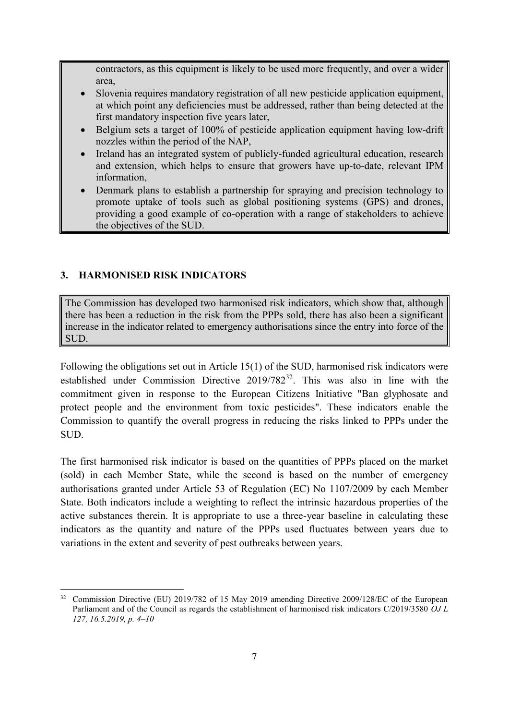contractors, as this equipment is likely to be used more frequently, and over a wider area,

- Slovenia requires mandatory registration of all new pesticide application equipment, at which point any deficiencies must be addressed, rather than being detected at the first mandatory inspection five years later,
- Belgium sets a target of 100% of pesticide application equipment having low-drift nozzles within the period of the NAP,
- Ireland has an integrated system of publicly-funded agricultural education, research and extension, which helps to ensure that growers have up-to-date, relevant IPM information,
- Denmark plans to establish a partnership for spraying and precision technology to promote uptake of tools such as global positioning systems (GPS) and drones, providing a good example of co-operation with a range of stakeholders to achieve the objectives of the SUD.

## **3. HARMONISED RISK INDICATORS**

The Commission has developed two harmonised risk indicators, which show that, although there has been a reduction in the risk from the PPPs sold, there has also been a significant increase in the indicator related to emergency authorisations since the entry into force of the SUD.

Following the obligations set out in Article 15(1) of the SUD, harmonised risk indicators were established under Commission Directive 2019/782<sup>32</sup>. This was also in line with the commitment given in response to the European Citizens Initiative "Ban glyphosate and protect people and the environment from toxic pesticides". These indicators enable the Commission to quantify the overall progress in reducing the risks linked to PPPs under the SUD.

The first harmonised risk indicator is based on the quantities of PPPs placed on the market (sold) in each Member State, while the second is based on the number of emergency authorisations granted under Article 53 of Regulation (EC) No 1107/2009 by each Member State. Both indicators include a weighting to reflect the intrinsic hazardous properties of the active substances therein. It is appropriate to use a three-year baseline in calculating these indicators as the quantity and nature of the PPPs used fluctuates between years due to variations in the extent and severity of pest outbreaks between years.

**<sup>.</sup>** <sup>32</sup> Commission Directive (EU) 2019/782 of 15 May 2019 amending Directive 2009/128/EC of the European Parliament and of the Council as regards the establishment of harmonised risk indicators C/2019/3580 *OJ L 127, 16.5.2019, p. 4–10*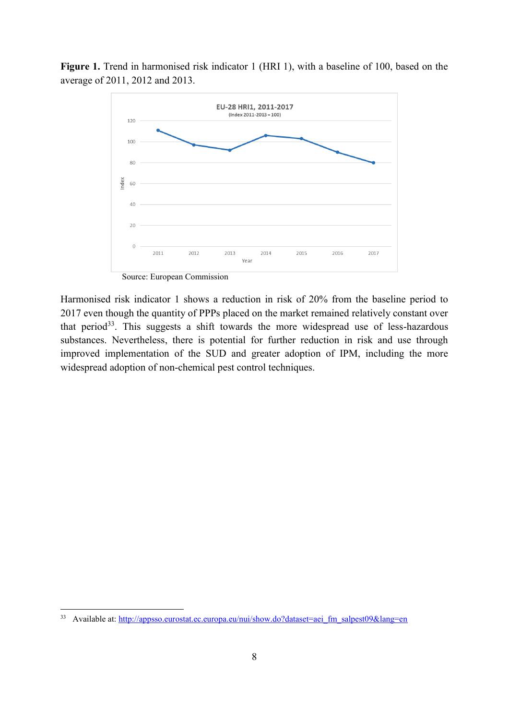Figure 1. Trend in harmonised risk indicator 1 (HRI 1), with a baseline of 100, based on the average of 2011, 2012 and 2013.



Source: European Commission

Harmonised risk indicator 1 shows a reduction in risk of 20% from the baseline period to 2017 even though the quantity of PPPs placed on the market remained relatively constant over that period<sup>33</sup>. This suggests a shift towards the more widespread use of less-hazardous substances. Nevertheless, there is potential for further reduction in risk and use through improved implementation of the SUD and greater adoption of IPM, including the more widespread adoption of non-chemical pest control techniques.

<sup>33</sup> Available at: [http://appsso.eurostat.ec.europa.eu/nui/show.do?dataset=aei\\_fm\\_salpest09&lang=en](http://appsso.eurostat.ec.europa.eu/nui/show.do?dataset=aei_fm_salpest09&lang=en)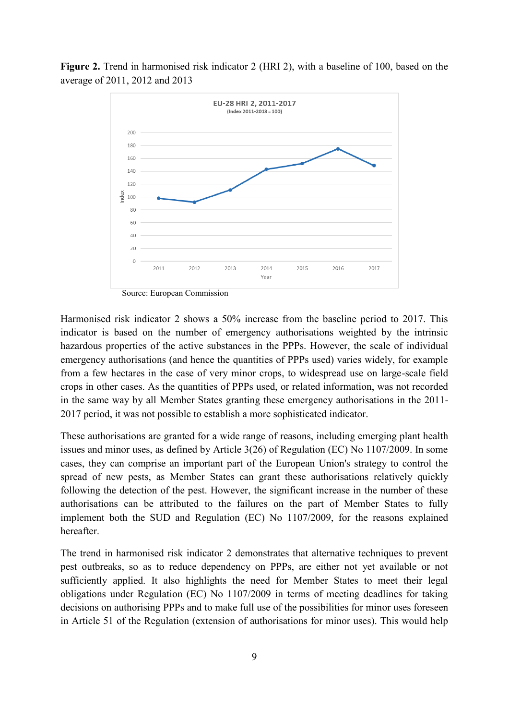



Source: European Commission

Harmonised risk indicator 2 shows a 50% increase from the baseline period to 2017. This indicator is based on the number of emergency authorisations weighted by the intrinsic hazardous properties of the active substances in the PPPs. However, the scale of individual emergency authorisations (and hence the quantities of PPPs used) varies widely, for example from a few hectares in the case of very minor crops, to widespread use on large-scale field crops in other cases. As the quantities of PPPs used, or related information, was not recorded in the same way by all Member States granting these emergency authorisations in the 2011- 2017 period, it was not possible to establish a more sophisticated indicator.

These authorisations are granted for a wide range of reasons, including emerging plant health issues and minor uses, as defined by Article 3(26) of Regulation (EC) No 1107/2009. In some cases, they can comprise an important part of the European Union's strategy to control the spread of new pests, as Member States can grant these authorisations relatively quickly following the detection of the pest. However, the significant increase in the number of these authorisations can be attributed to the failures on the part of Member States to fully implement both the SUD and Regulation (EC) No 1107/2009, for the reasons explained hereafter.

The trend in harmonised risk indicator 2 demonstrates that alternative techniques to prevent pest outbreaks, so as to reduce dependency on PPPs, are either not yet available or not sufficiently applied. It also highlights the need for Member States to meet their legal obligations under Regulation (EC) No 1107/2009 in terms of meeting deadlines for taking decisions on authorising PPPs and to make full use of the possibilities for minor uses foreseen in Article 51 of the Regulation (extension of authorisations for minor uses). This would help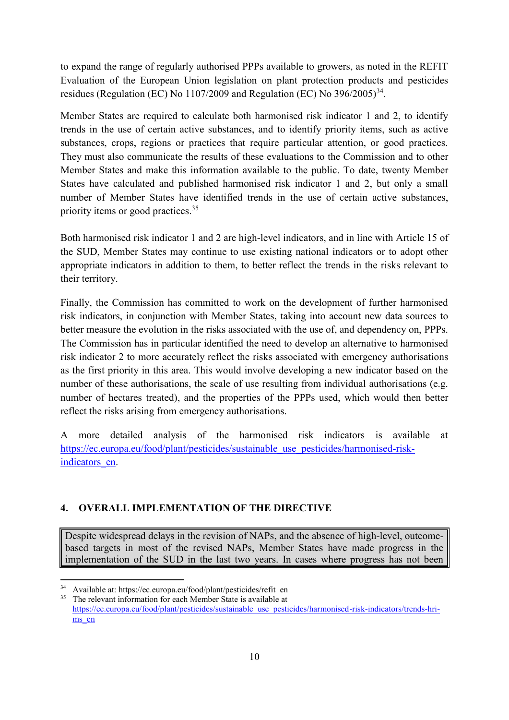to expand the range of regularly authorised PPPs available to growers, as noted in the REFIT Evaluation of the European Union legislation on plant protection products and pesticides residues (Regulation (EC) No 1107/2009 and Regulation (EC) No  $396/2005$ <sup>34</sup>.

Member States are required to calculate both harmonised risk indicator 1 and 2, to identify trends in the use of certain active substances, and to identify priority items, such as active substances, crops, regions or practices that require particular attention, or good practices. They must also communicate the results of these evaluations to the Commission and to other Member States and make this information available to the public. To date, twenty Member States have calculated and published harmonised risk indicator 1 and 2, but only a small number of Member States have identified trends in the use of certain active substances, priority items or good practices.<sup>35</sup>

Both harmonised risk indicator 1 and 2 are high-level indicators, and in line with Article 15 of the SUD, Member States may continue to use existing national indicators or to adopt other appropriate indicators in addition to them, to better reflect the trends in the risks relevant to their territory.

Finally, the Commission has committed to work on the development of further harmonised risk indicators, in conjunction with Member States, taking into account new data sources to better measure the evolution in the risks associated with the use of, and dependency on, PPPs. The Commission has in particular identified the need to develop an alternative to harmonised risk indicator 2 to more accurately reflect the risks associated with emergency authorisations as the first priority in this area. This would involve developing a new indicator based on the number of these authorisations, the scale of use resulting from individual authorisations (e.g. number of hectares treated), and the properties of the PPPs used, which would then better reflect the risks arising from emergency authorisations.

A more detailed analysis of the harmonised risk indicators is available at [https://ec.europa.eu/food/plant/pesticides/sustainable\\_use\\_pesticides/harmonised-risk](https://ec.europa.eu/food/plant/pesticides/sustainable_use_pesticides/harmonised-risk-indicators_en)[indicators\\_en.](https://ec.europa.eu/food/plant/pesticides/sustainable_use_pesticides/harmonised-risk-indicators_en)

## **4. OVERALL IMPLEMENTATION OF THE DIRECTIVE**

Despite widespread delays in the revision of NAPs, and the absence of high-level, outcomebased targets in most of the revised NAPs, Member States have made progress in the implementation of the SUD in the last two years. In cases where progress has not been

Available at: https://ec.europa.eu/food/plant/pesticides/refit\_en

The relevant information for each Member State is available at [https://ec.europa.eu/food/plant/pesticides/sustainable\\_use\\_pesticides/harmonised-risk-indicators/trends-hri](https://ec.europa.eu/food/plant/pesticides/sustainable_use_pesticides/harmonised-risk-indicators/trends-hri-ms_en)ms en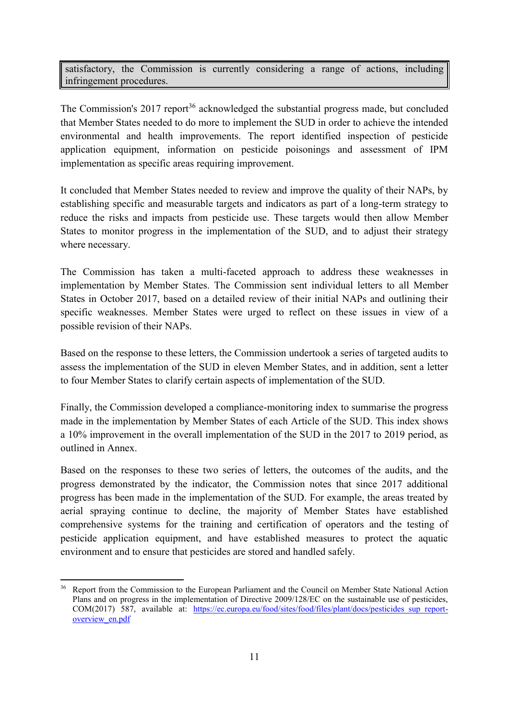satisfactory, the Commission is currently considering a range of actions, including infringement procedures.

The Commission's 2017 report<sup>36</sup> acknowledged the substantial progress made, but concluded that Member States needed to do more to implement the SUD in order to achieve the intended environmental and health improvements. The report identified inspection of pesticide application equipment, information on pesticide poisonings and assessment of IPM implementation as specific areas requiring improvement.

It concluded that Member States needed to review and improve the quality of their NAPs, by establishing specific and measurable targets and indicators as part of a long-term strategy to reduce the risks and impacts from pesticide use. These targets would then allow Member States to monitor progress in the implementation of the SUD, and to adjust their strategy where necessary.

The Commission has taken a multi-faceted approach to address these weaknesses in implementation by Member States. The Commission sent individual letters to all Member States in October 2017, based on a detailed review of their initial NAPs and outlining their specific weaknesses. Member States were urged to reflect on these issues in view of a possible revision of their NAPs.

Based on the response to these letters, the Commission undertook a series of targeted audits to assess the implementation of the SUD in eleven Member States, and in addition, sent a letter to four Member States to clarify certain aspects of implementation of the SUD.

Finally, the Commission developed a compliance-monitoring index to summarise the progress made in the implementation by Member States of each Article of the SUD. This index shows a 10% improvement in the overall implementation of the SUD in the 2017 to 2019 period, as outlined in Annex.

Based on the responses to these two series of letters, the outcomes of the audits, and the progress demonstrated by the indicator, the Commission notes that since 2017 additional progress has been made in the implementation of the SUD. For example, the areas treated by aerial spraying continue to decline, the majority of Member States have established comprehensive systems for the training and certification of operators and the testing of pesticide application equipment, and have established measures to protect the aquatic environment and to ensure that pesticides are stored and handled safely.

<sup>&</sup>lt;sup>36</sup> Report from the Commission to the European Parliament and the Council on Member State National Action Plans and on progress in the implementation of Directive 2009/128/EC on the sustainable use of pesticides, COM(2017) 587, available at: [https://ec.europa.eu/food/sites/food/files/plant/docs/pesticides\\_sup\\_report](https://ec.europa.eu/food/sites/food/files/plant/docs/pesticides_sup_report-overview_en.pdf)[overview\\_en.pdf](https://ec.europa.eu/food/sites/food/files/plant/docs/pesticides_sup_report-overview_en.pdf)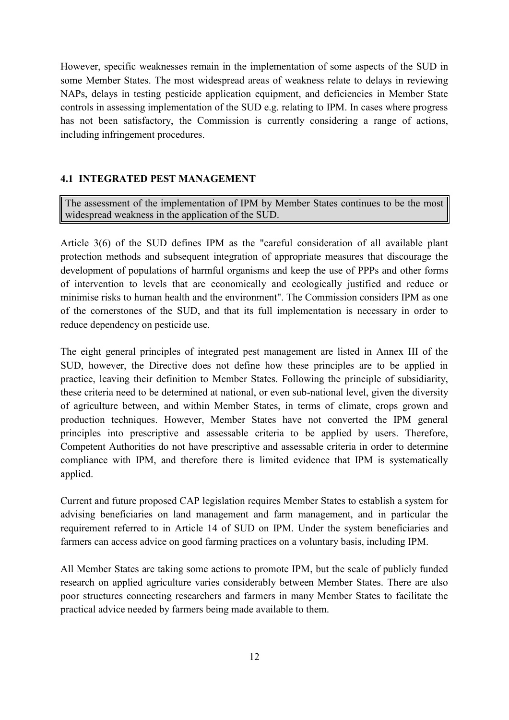However, specific weaknesses remain in the implementation of some aspects of the SUD in some Member States. The most widespread areas of weakness relate to delays in reviewing NAPs, delays in testing pesticide application equipment, and deficiencies in Member State controls in assessing implementation of the SUD e.g. relating to IPM. In cases where progress has not been satisfactory, the Commission is currently considering a range of actions, including infringement procedures.

#### **4.1 INTEGRATED PEST MANAGEMENT**

The assessment of the implementation of IPM by Member States continues to be the most widespread weakness in the application of the SUD.

Article 3(6) of the SUD defines IPM as the "careful consideration of all available plant protection methods and subsequent integration of appropriate measures that discourage the development of populations of harmful organisms and keep the use of PPPs and other forms of intervention to levels that are economically and ecologically justified and reduce or minimise risks to human health and the environment". The Commission considers IPM as one of the cornerstones of the SUD, and that its full implementation is necessary in order to reduce dependency on pesticide use.

The eight general principles of integrated pest management are listed in Annex III of the SUD, however, the Directive does not define how these principles are to be applied in practice, leaving their definition to Member States. Following the principle of subsidiarity, these criteria need to be determined at national, or even sub-national level, given the diversity of agriculture between, and within Member States, in terms of climate, crops grown and production techniques. However, Member States have not converted the IPM general principles into prescriptive and assessable criteria to be applied by users. Therefore, Competent Authorities do not have prescriptive and assessable criteria in order to determine compliance with IPM, and therefore there is limited evidence that IPM is systematically applied.

Current and future proposed CAP legislation requires Member States to establish a system for advising beneficiaries on land management and farm management, and in particular the requirement referred to in Article 14 of SUD on IPM. Under the system beneficiaries and farmers can access advice on good farming practices on a voluntary basis, including IPM.

All Member States are taking some actions to promote IPM, but the scale of publicly funded research on applied agriculture varies considerably between Member States. There are also poor structures connecting researchers and farmers in many Member States to facilitate the practical advice needed by farmers being made available to them.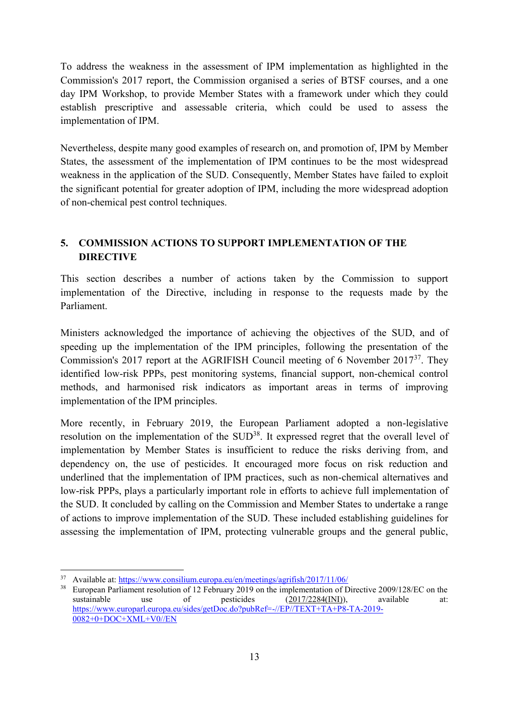To address the weakness in the assessment of IPM implementation as highlighted in the Commission's 2017 report, the Commission organised a series of BTSF courses, and a one day IPM Workshop, to provide Member States with a framework under which they could establish prescriptive and assessable criteria, which could be used to assess the implementation of IPM.

Nevertheless, despite many good examples of research on, and promotion of, IPM by Member States, the assessment of the implementation of IPM continues to be the most widespread weakness in the application of the SUD. Consequently, Member States have failed to exploit the significant potential for greater adoption of IPM, including the more widespread adoption of non-chemical pest control techniques.

# **5. COMMISSION ACTIONS TO SUPPORT IMPLEMENTATION OF THE DIRECTIVE**

This section describes a number of actions taken by the Commission to support implementation of the Directive, including in response to the requests made by the Parliament.

Ministers acknowledged the importance of achieving the objectives of the SUD, and of speeding up the implementation of the IPM principles, following the presentation of the Commission's 2017 report at the AGRIFISH Council meeting of 6 November 2017<sup>37</sup>. They identified low-risk PPPs, pest monitoring systems, financial support, non-chemical control methods, and harmonised risk indicators as important areas in terms of improving implementation of the IPM principles.

More recently, in February 2019, the European Parliament adopted a non-legislative resolution on the implementation of the SUD<sup>38</sup>. It expressed regret that the overall level of implementation by Member States is insufficient to reduce the risks deriving from, and dependency on, the use of pesticides. It encouraged more focus on risk reduction and underlined that the implementation of IPM practices, such as non-chemical alternatives and low-risk PPPs, plays a particularly important role in efforts to achieve full implementation of the SUD. It concluded by calling on the Commission and Member States to undertake a range of actions to improve implementation of the SUD. These included establishing guidelines for assessing the implementation of IPM, protecting vulnerable groups and the general public,

<sup>1</sup> <sup>37</sup> Available at:<https://www.consilium.europa.eu/en/meetings/agrifish/2017/11/06/>

<sup>&</sup>lt;sup>38</sup> European Parliament resolution of 12 February 2019 on the implementation of Directive 2009/128/EC on the sustainable use of pesticides  $(2017/2284(NI))$ , available at: [https://www.europarl.europa.eu/sides/getDoc.do?pubRef=-//EP//TEXT+TA+P8-TA-2019-](https://www.europarl.europa.eu/sides/getDoc.do?pubRef=-//EP//TEXT+TA+P8-TA-2019-0082+0+DOC+XML+V0//EN)  $0082+0+DOC+XML+VO/EN$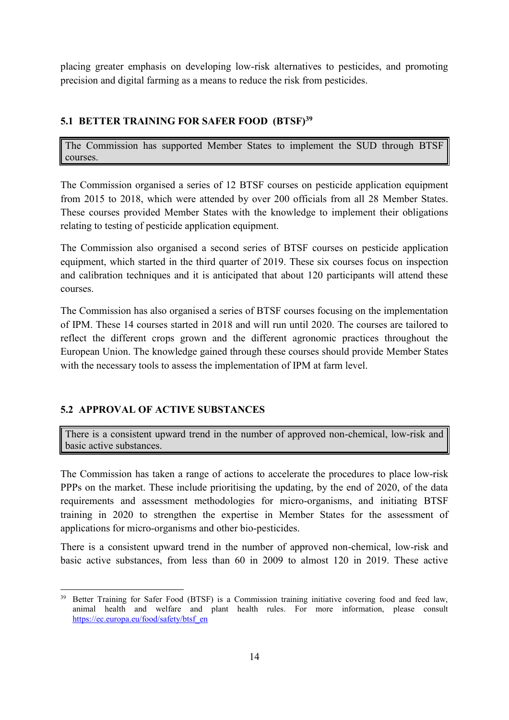placing greater emphasis on developing low-risk alternatives to pesticides, and promoting precision and digital farming as a means to reduce the risk from pesticides.

# **5.1 BETTER TRAINING FOR SAFER FOOD (BTSF)<sup>39</sup>**

The Commission has supported Member States to implement the SUD through BTSF courses.

The Commission organised a series of 12 BTSF courses on pesticide application equipment from 2015 to 2018, which were attended by over 200 officials from all 28 Member States. These courses provided Member States with the knowledge to implement their obligations relating to testing of pesticide application equipment.

The Commission also organised a second series of BTSF courses on pesticide application equipment, which started in the third quarter of 2019. These six courses focus on inspection and calibration techniques and it is anticipated that about 120 participants will attend these courses.

The Commission has also organised a series of BTSF courses focusing on the implementation of IPM. These 14 courses started in 2018 and will run until 2020. The courses are tailored to reflect the different crops grown and the different agronomic practices throughout the European Union. The knowledge gained through these courses should provide Member States with the necessary tools to assess the implementation of IPM at farm level.

# **5.2 APPROVAL OF ACTIVE SUBSTANCES**

There is a consistent upward trend in the number of approved non-chemical, low-risk and basic active substances.

The Commission has taken a range of actions to accelerate the procedures to place low-risk PPPs on the market. These include prioritising the updating, by the end of 2020, of the data requirements and assessment methodologies for micro-organisms, and initiating BTSF training in 2020 to strengthen the expertise in Member States for the assessment of applications for micro-organisms and other bio-pesticides.

There is a consistent upward trend in the number of approved non-chemical, low-risk and basic active substances, from less than 60 in 2009 to almost 120 in 2019. These active

**<sup>.</sup>** <sup>39</sup> Better Training for Safer Food (BTSF) is a Commission training initiative covering food and feed law, animal health and welfare and plant health rules. For more information, please consult [https://ec.europa.eu/food/safety/btsf\\_en](https://ec.europa.eu/food/safety/btsf_en)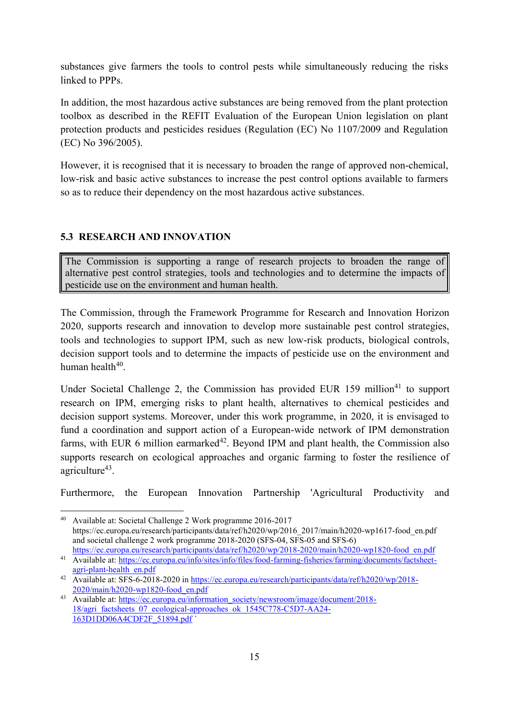substances give farmers the tools to control pests while simultaneously reducing the risks linked to PPPs.

In addition, the most hazardous active substances are being removed from the plant protection toolbox as described in the REFIT Evaluation of the European Union legislation on plant protection products and pesticides residues (Regulation (EC) No 1107/2009 and Regulation (EC) No 396/2005).

However, it is recognised that it is necessary to broaden the range of approved non-chemical, low-risk and basic active substances to increase the pest control options available to farmers so as to reduce their dependency on the most hazardous active substances.

# **5.3 RESEARCH AND INNOVATION**

The Commission is supporting a range of research projects to broaden the range of alternative pest control strategies, tools and technologies and to determine the impacts of pesticide use on the environment and human health.

The Commission, through the Framework Programme for Research and Innovation Horizon 2020, supports research and innovation to develop more sustainable pest control strategies, tools and technologies to support IPM, such as new low-risk products, biological controls, decision support tools and to determine the impacts of pesticide use on the environment and human health<sup>40</sup>.

Under Societal Challenge 2, the Commission has provided EUR  $159$  million<sup>41</sup> to support research on IPM, emerging risks to plant health, alternatives to chemical pesticides and decision support systems. Moreover, under this work programme, in 2020, it is envisaged to fund a coordination and support action of a European-wide network of IPM demonstration farms, with EUR 6 million earmarked<sup>42</sup>. Beyond IPM and plant health, the Commission also supports research on ecological approaches and organic farming to foster the resilience of agriculture<sup>43</sup>.

Furthermore, the European Innovation Partnership 'Agricultural Productivity and

**<sup>.</sup>** <sup>40</sup> Available at: Societal Challenge 2 Work programme 2016-2017 https://ec.europa.eu/research/participants/data/ref/h2020/wp/2016\_2017/main/h2020-wp1617-food\_en.pdf and societal challenge 2 work programme 2018-2020 (SFS-04, SFS-05 and SFS-6) [https://ec.europa.eu/research/participants/data/ref/h2020/wp/2018-2020/main/h2020-wp1820-food\\_en.pdf](https://ec.europa.eu/research/participants/data/ref/h2020/wp/2018-2020/main/h2020-wp1820-food_en.pdf)

<sup>41</sup> Available at: [https://ec.europa.eu/info/sites/info/files/food-farming-fisheries/farming/documents/factsheet](https://ec.europa.eu/info/sites/info/files/food-farming-fisheries/farming/documents/factsheet-agri-plant-health_en.pdf)[agri-plant-health\\_en.pdf](https://ec.europa.eu/info/sites/info/files/food-farming-fisheries/farming/documents/factsheet-agri-plant-health_en.pdf)

<sup>42</sup> Available at: SFS-6-2018-2020 in [https://ec.europa.eu/research/participants/data/ref/h2020/wp/2018-](https://ec.europa.eu/research/participants/data/ref/h2020/wp/2018-2020/main/h2020-wp1820-food_en.pdf) [2020/main/h2020-wp1820-food\\_en.pdf](https://ec.europa.eu/research/participants/data/ref/h2020/wp/2018-2020/main/h2020-wp1820-food_en.pdf)

<sup>43</sup> Available at: [https://ec.europa.eu/information\\_society/newsroom/image/document/2018-](https://ec.europa.eu/information_society/newsroom/image/document/2018-18/agri_factsheets_07_ecological-approaches_ok_1545C778-C5D7-AA24-163D1DD06A4CDF2F_51894.pdf) [18/agri\\_factsheets\\_07\\_ecological-approaches\\_ok\\_1545C778-C5D7-AA24-](https://ec.europa.eu/information_society/newsroom/image/document/2018-18/agri_factsheets_07_ecological-approaches_ok_1545C778-C5D7-AA24-163D1DD06A4CDF2F_51894.pdf) [163D1DD06A4CDF2F\\_51894.pdf](https://ec.europa.eu/information_society/newsroom/image/document/2018-18/agri_factsheets_07_ecological-approaches_ok_1545C778-C5D7-AA24-163D1DD06A4CDF2F_51894.pdf)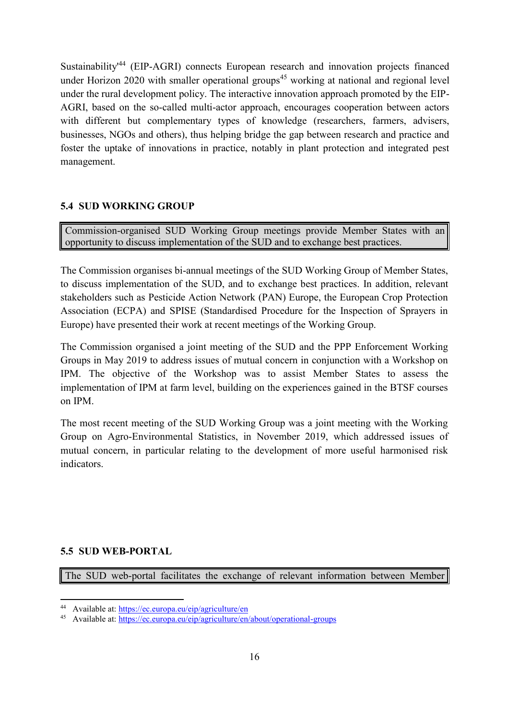Sustainability<sup>44</sup> (EIP-AGRI) connects European research and innovation projects financed under Horizon 2020 with smaller operational groups<sup>45</sup> working at national and regional level under the rural development policy. The interactive innovation approach promoted by the EIP-AGRI, based on the so-called multi-actor approach, encourages cooperation between actors with different but complementary types of knowledge (researchers, farmers, advisers, businesses, NGOs and others), thus helping bridge the gap between research and practice and foster the uptake of innovations in practice, notably in plant protection and integrated pest management.

## **5.4 SUD WORKING GROUP**

Commission-organised SUD Working Group meetings provide Member States with an opportunity to discuss implementation of the SUD and to exchange best practices.

The Commission organises bi-annual meetings of the SUD Working Group of Member States, to discuss implementation of the SUD, and to exchange best practices. In addition, relevant stakeholders such as Pesticide Action Network (PAN) Europe, the European Crop Protection Association (ECPA) and SPISE (Standardised Procedure for the Inspection of Sprayers in Europe) have presented their work at recent meetings of the Working Group.

The Commission organised a joint meeting of the SUD and the PPP Enforcement Working Groups in May 2019 to address issues of mutual concern in conjunction with a Workshop on IPM. The objective of the Workshop was to assist Member States to assess the implementation of IPM at farm level, building on the experiences gained in the BTSF courses on IPM.

The most recent meeting of the SUD Working Group was a joint meeting with the Working Group on Agro-Environmental Statistics, in November 2019, which addressed issues of mutual concern, in particular relating to the development of more useful harmonised risk indicators.

## **5.5 SUD WEB-PORTAL**

**.** 

The SUD web-portal facilitates the exchange of relevant information between Member

<sup>44</sup> Available at:<https://ec.europa.eu/eip/agriculture/en>

<sup>45</sup> Available at:<https://ec.europa.eu/eip/agriculture/en/about/operational-groups>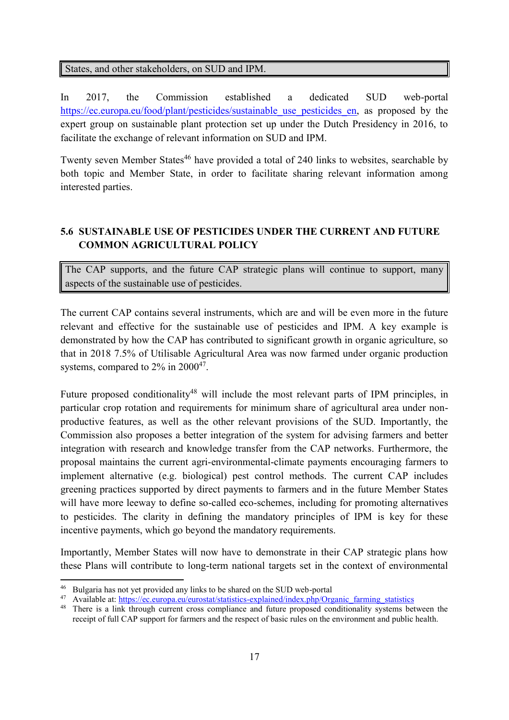States, and other stakeholders, on SUD and IPM.

In 2017, the Commission established a dedicated SUD web-portal https://ec.europa.eu/food/plant/pesticides/sustainable use pesticides en, as proposed by the expert group on sustainable plant protection set up under the Dutch Presidency in 2016, to facilitate the exchange of relevant information on SUD and IPM.

Twenty seven Member States<sup>46</sup> have provided a total of 240 links to websites, searchable by both topic and Member State, in order to facilitate sharing relevant information among interested parties.

# **5.6 SUSTAINABLE USE OF PESTICIDES UNDER THE CURRENT AND FUTURE COMMON AGRICULTURAL POLICY**

The CAP supports, and the future CAP strategic plans will continue to support, many aspects of the sustainable use of pesticides.

The current CAP contains several instruments, which are and will be even more in the future relevant and effective for the sustainable use of pesticides and IPM. A key example is demonstrated by how the CAP has contributed to significant growth in organic agriculture, so that in 2018 7.5% of Utilisable Agricultural Area was now farmed under organic production systems, compared to  $2\%$  in  $2000^{47}$ .

Future proposed conditionality<sup>48</sup> will include the most relevant parts of IPM principles, in particular crop rotation and requirements for minimum share of agricultural area under nonproductive features, as well as the other relevant provisions of the SUD. Importantly, the Commission also proposes a better integration of the system for advising farmers and better integration with research and knowledge transfer from the CAP networks. Furthermore, the proposal maintains the current agri-environmental-climate payments encouraging farmers to implement alternative (e.g. biological) pest control methods. The current CAP includes greening practices supported by direct payments to farmers and in the future Member States will have more leeway to define so-called eco-schemes, including for promoting alternatives to pesticides. The clarity in defining the mandatory principles of IPM is key for these incentive payments, which go beyond the mandatory requirements.

Importantly, Member States will now have to demonstrate in their CAP strategic plans how these Plans will contribute to long-term national targets set in the context of environmental

<sup>&</sup>lt;sup>46</sup> Bulgaria has not yet provided any links to be shared on the SUD web-portal

<sup>47</sup> Available at: [https://ec.europa.eu/eurostat/statistics-explained/index.php/Organic\\_farming\\_statistics](https://ec.europa.eu/eurostat/statistics-explained/index.php/Organic_farming_statistics)

<sup>&</sup>lt;sup>48</sup> There is a link through current cross compliance and future proposed conditionality systems between the receipt of full CAP support for farmers and the respect of basic rules on the environment and public health.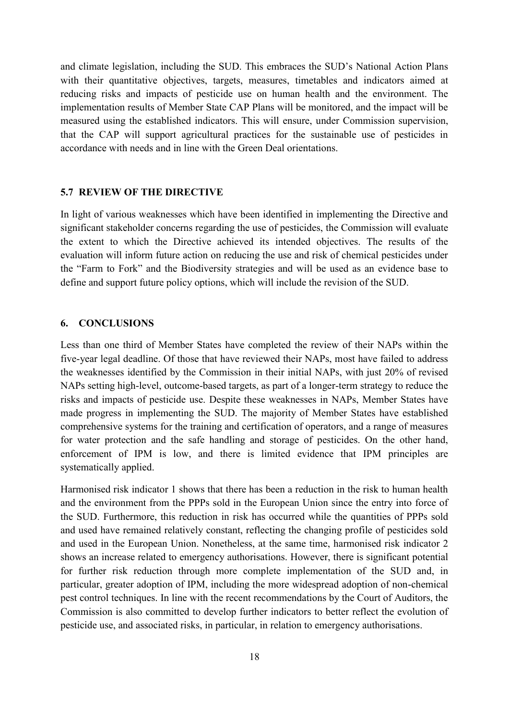and climate legislation, including the SUD. This embraces the SUD's National Action Plans with their quantitative objectives, targets, measures, timetables and indicators aimed at reducing risks and impacts of pesticide use on human health and the environment. The implementation results of Member State CAP Plans will be monitored, and the impact will be measured using the established indicators. This will ensure, under Commission supervision, that the CAP will support agricultural practices for the sustainable use of pesticides in accordance with needs and in line with the Green Deal orientations.

#### **5.7 REVIEW OF THE DIRECTIVE**

In light of various weaknesses which have been identified in implementing the Directive and significant stakeholder concerns regarding the use of pesticides, the Commission will evaluate the extent to which the Directive achieved its intended objectives. The results of the evaluation will inform future action on reducing the use and risk of chemical pesticides under the "Farm to Fork" and the Biodiversity strategies and will be used as an evidence base to define and support future policy options, which will include the revision of the SUD.

#### **6. CONCLUSIONS**

Less than one third of Member States have completed the review of their NAPs within the five-year legal deadline. Of those that have reviewed their NAPs, most have failed to address the weaknesses identified by the Commission in their initial NAPs, with just 20% of revised NAPs setting high-level, outcome-based targets, as part of a longer-term strategy to reduce the risks and impacts of pesticide use. Despite these weaknesses in NAPs, Member States have made progress in implementing the SUD. The majority of Member States have established comprehensive systems for the training and certification of operators, and a range of measures for water protection and the safe handling and storage of pesticides. On the other hand, enforcement of IPM is low, and there is limited evidence that IPM principles are systematically applied.

Harmonised risk indicator 1 shows that there has been a reduction in the risk to human health and the environment from the PPPs sold in the European Union since the entry into force of the SUD. Furthermore, this reduction in risk has occurred while the quantities of PPPs sold and used have remained relatively constant, reflecting the changing profile of pesticides sold and used in the European Union. Nonetheless, at the same time, harmonised risk indicator 2 shows an increase related to emergency authorisations. However, there is significant potential for further risk reduction through more complete implementation of the SUD and, in particular, greater adoption of IPM, including the more widespread adoption of non-chemical pest control techniques. In line with the recent recommendations by the Court of Auditors, the Commission is also committed to develop further indicators to better reflect the evolution of pesticide use, and associated risks, in particular, in relation to emergency authorisations.